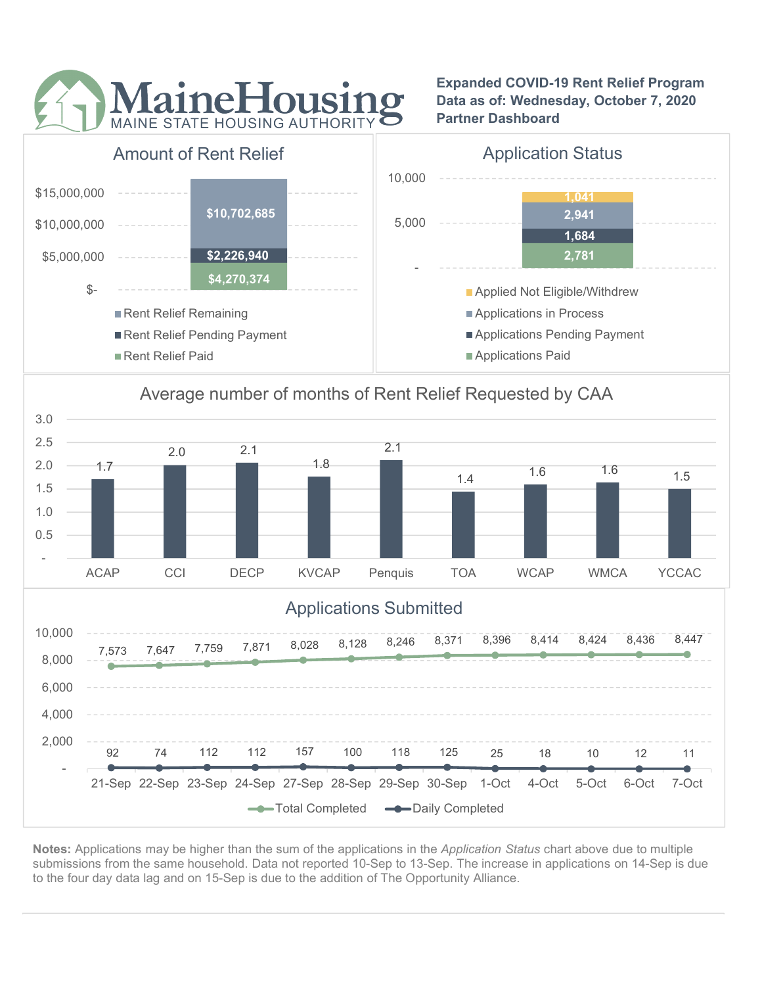

Expanded COVID-19 Rent Relief Program Data as of: Wednesday, October 7, 2020 Partner Dashboard



## Average number of months of Rent Relief Requested by CAA



Notes: Applications may be higher than the sum of the applications in the Application Status chart above due to multiple submissions from the same household. Data not reported 10-Sep to 13-Sep. The increase in applications on 14-Sep is due to the four day data lag and on 15-Sep is due to the addition of The Opportunity Alliance.